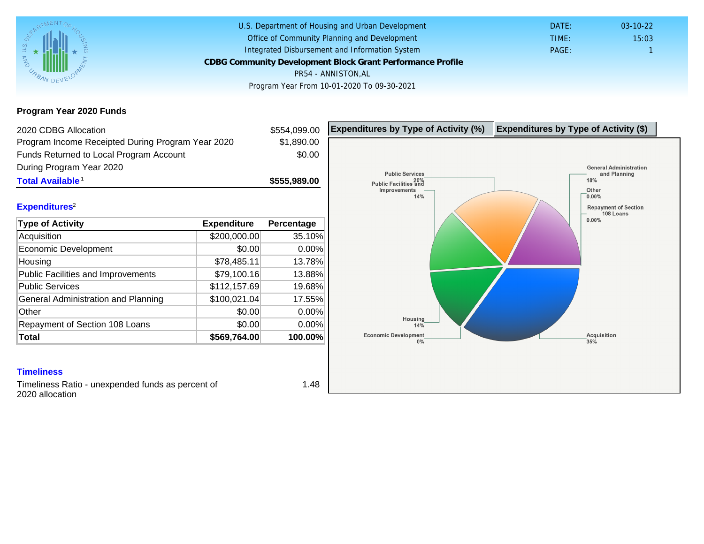### Program Year 2020 Funds

| \$1,890.00<br>\$0.00<br>\$555,989.00<br>Percentage<br>35.10%<br>0.00%<br>13.78%<br>13.88% |  |  |
|-------------------------------------------------------------------------------------------|--|--|
|                                                                                           |  |  |
|                                                                                           |  |  |
|                                                                                           |  |  |
|                                                                                           |  |  |
|                                                                                           |  |  |
|                                                                                           |  |  |
|                                                                                           |  |  |
|                                                                                           |  |  |
|                                                                                           |  |  |
|                                                                                           |  |  |
| 19.68%                                                                                    |  |  |
| 17.55%                                                                                    |  |  |
| 0.00%                                                                                     |  |  |
| 0.00%                                                                                     |  |  |
| 100.00%                                                                                   |  |  |
|                                                                                           |  |  |

Timeliness Ratio - unexpended funds as percent of 2020 allocation

1.48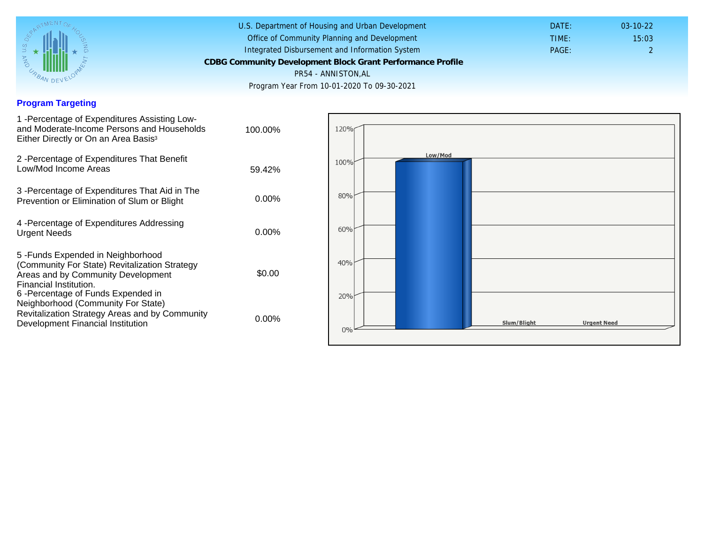## Program Targeting

| 1 - Percentage of Expenditures Assisting Low-<br>and Moderate-Income Persons and Households<br>Either Directly or On an Area Basis <sup>3</sup>                                                                              | 100.00%  |  |
|------------------------------------------------------------------------------------------------------------------------------------------------------------------------------------------------------------------------------|----------|--|
| 2 - Percentage of Expenditures That Benefit<br>Low/Mod Income Areas                                                                                                                                                          | 59.42%   |  |
| 3 - Percentage of Expenditures That Aid in The<br>Prevention or Elimination of Slum or Blight                                                                                                                                | $0.00\%$ |  |
| 4 - Percentage of Expenditures Addressing<br><b>Urgent Needs</b>                                                                                                                                                             | $0.00\%$ |  |
| 5-Funds Expended in Neighborhood<br>(Community For State) Revitalization Strategy<br>Areas and by Community Development<br>Financial Institution.<br>6-Percentage of Funds Expended in<br>Neighborhood (Community For State) | \$0.00   |  |
| Revitalization Strategy Areas and by Community<br>Development Financial Institution                                                                                                                                          | $0.00\%$ |  |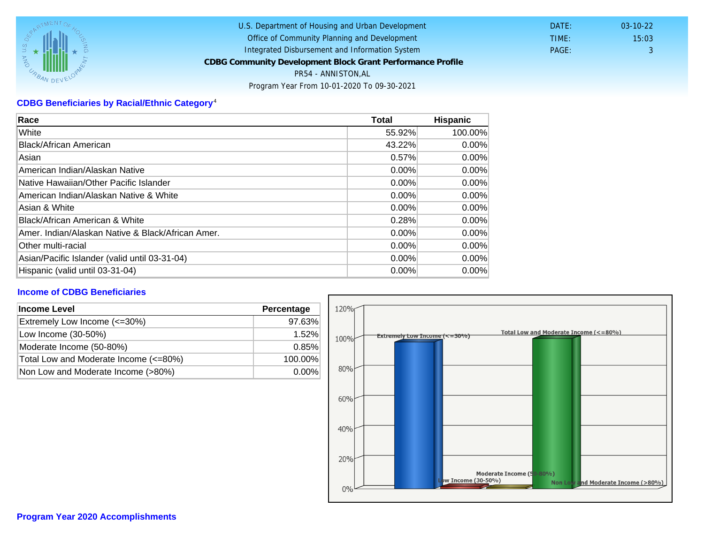# CDBG Beneficiaries by Racial/Ethnic Category <sup>4</sup>

| Race                                              | Total    | Hispanic |
|---------------------------------------------------|----------|----------|
| White                                             | 55.92%   | 100.00%  |
| Black/African American                            | 43.22%   | $0.00\%$ |
| Asian                                             | 0.57%    | $0.00\%$ |
| American Indian/Alaskan Native                    | 0.00%    | $0.00\%$ |
| Native Hawaiian/Other Pacific Islander            | $0.00\%$ | $0.00\%$ |
| American Indian/Alaskan Native & White            | $0.00\%$ | $0.00\%$ |
| Asian & White                                     | 0.00%    | 0.00%    |
| Black/African American & White                    | 0.28%    | $0.00\%$ |
| Amer. Indian/Alaskan Native & Black/African Amer. | $0.00\%$ | $0.00\%$ |
| <b>Other multi-racial</b>                         | 0.00%    | $0.00\%$ |
| Asian/Pacific Islander (valid until 03-31-04)     | $0.00\%$ | 0.00%    |
| Hispanic (valid until 03-31-04)                   | 0.00%    | 0.00%    |

## Income of CDBG Beneficiaries

| Income Level                          | Percentage |
|---------------------------------------|------------|
| Extremely Low Income (<=30%)          | 97.63%     |
| Low Income (30-50%)                   | $1.52\%$   |
| Moderate Income (50-80%)              | 0.85%      |
| Total Low and Moderate Income (<=80%) | 100.00%    |
| Non Low and Moderate Income (>80%)    | $0.00\%$   |